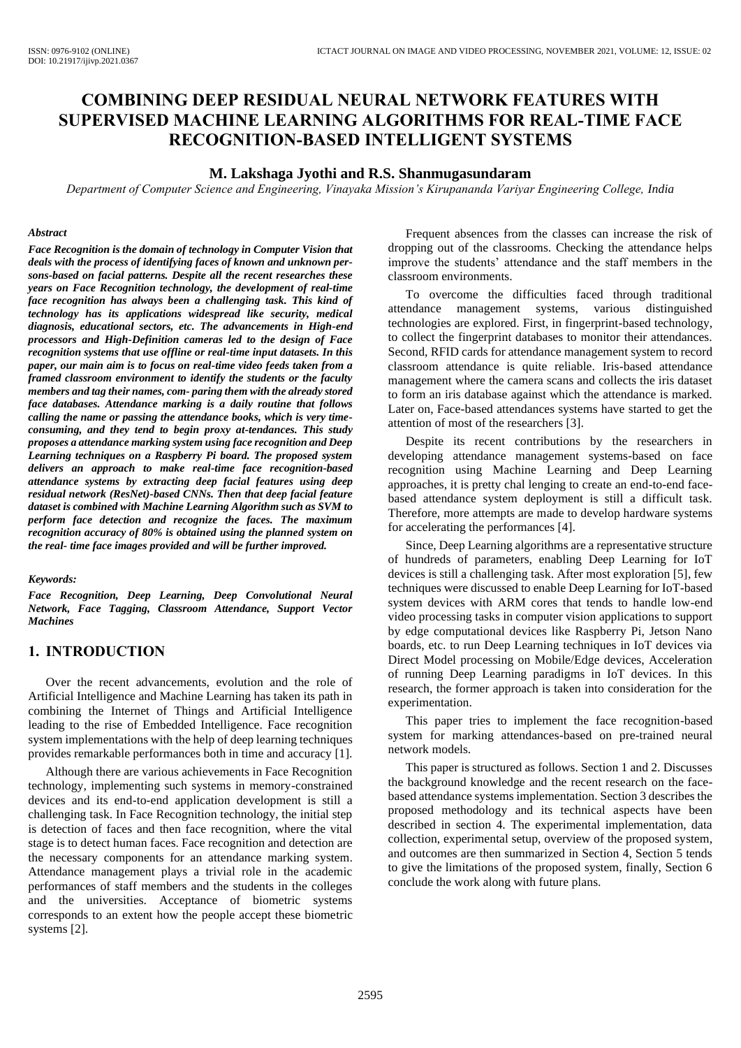# **COMBINING DEEP RESIDUAL NEURAL NETWORK FEATURES WITH SUPERVISED MACHINE LEARNING ALGORITHMS FOR REAL-TIME FACE RECOGNITION-BASED INTELLIGENT SYSTEMS**

### **M. Lakshaga Jyothi and R.S. Shanmugasundaram**

*Department of Computer Science and Engineering, Vinayaka Mission's Kirupananda Variyar Engineering College, India*

#### *Abstract*

*Face Recognition is the domain of technology in Computer Vision that deals with the process of identifying faces of known and unknown persons-based on facial patterns. Despite all the recent researches these years on Face Recognition technology, the development of real-time face recognition has always been a challenging task. This kind of technology has its applications widespread like security, medical diagnosis, educational sectors, etc. The advancements in High-end processors and High-Definition cameras led to the design of Face recognition systems that use offline or real-time input datasets. In this paper, our main aim is to focus on real-time video feeds taken from a framed classroom environment to identify the students or the faculty members and tag their names, com- paring them with the already stored face databases. Attendance marking is a daily routine that follows calling the name or passing the attendance books, which is very timeconsuming, and they tend to begin proxy at-tendances. This study proposes a attendance marking system using face recognition and Deep Learning techniques on a Raspberry Pi board. The proposed system delivers an approach to make real-time face recognition-based attendance systems by extracting deep facial features using deep residual network (ResNet)-based CNNs. Then that deep facial feature dataset is combined with Machine Learning Algorithm such as SVM to perform face detection and recognize the faces. The maximum recognition accuracy of 80% is obtained using the planned system on the real- time face images provided and will be further improved.*

#### *Keywords:*

*Face Recognition, Deep Learning, Deep Convolutional Neural Network, Face Tagging, Classroom Attendance, Support Vector Machines*

## **1. INTRODUCTION**

Over the recent advancements, evolution and the role of Artificial Intelligence and Machine Learning has taken its path in combining the Internet of Things and Artificial Intelligence leading to the rise of Embedded Intelligence. Face recognition system implementations with the help of deep learning techniques provides remarkable performances both in time and accuracy [1].

Although there are various achievements in Face Recognition technology, implementing such systems in memory-constrained devices and its end-to-end application development is still a challenging task. In Face Recognition technology, the initial step is detection of faces and then face recognition, where the vital stage is to detect human faces. Face recognition and detection are the necessary components for an attendance marking system. Attendance management plays a trivial role in the academic performances of staff members and the students in the colleges and the universities. Acceptance of biometric systems corresponds to an extent how the people accept these biometric systems [2].

Frequent absences from the classes can increase the risk of dropping out of the classrooms. Checking the attendance helps improve the students' attendance and the staff members in the classroom environments.

To overcome the difficulties faced through traditional attendance management systems, various distinguished technologies are explored. First, in fingerprint-based technology, to collect the fingerprint databases to monitor their attendances. Second, RFID cards for attendance management system to record classroom attendance is quite reliable. Iris-based attendance management where the camera scans and collects the iris dataset to form an iris database against which the attendance is marked. Later on, Face-based attendances systems have started to get the attention of most of the researchers [3].

Despite its recent contributions by the researchers in developing attendance management systems-based on face recognition using Machine Learning and Deep Learning approaches, it is pretty chal lenging to create an end-to-end facebased attendance system deployment is still a difficult task. Therefore, more attempts are made to develop hardware systems for accelerating the performances [4].

Since, Deep Learning algorithms are a representative structure of hundreds of parameters, enabling Deep Learning for IoT devices is still a challenging task. After most exploration [5], few techniques were discussed to enable Deep Learning for IoT-based system devices with ARM cores that tends to handle low-end video processing tasks in computer vision applications to support by edge computational devices like Raspberry Pi, Jetson Nano boards, etc. to run Deep Learning techniques in IoT devices via Direct Model processing on Mobile/Edge devices, Acceleration of running Deep Learning paradigms in IoT devices. In this research, the former approach is taken into consideration for the experimentation.

This paper tries to implement the face recognition-based system for marking attendances-based on pre-trained neural network models.

This paper is structured as follows. Section 1 and 2. Discusses the background knowledge and the recent research on the facebased attendance systems implementation. Section 3 describes the proposed methodology and its technical aspects have been described in section 4. The experimental implementation, data collection, experimental setup, overview of the proposed system, and outcomes are then summarized in Section 4, Section 5 tends to give the limitations of the proposed system, finally, Section 6 conclude the work along with future plans.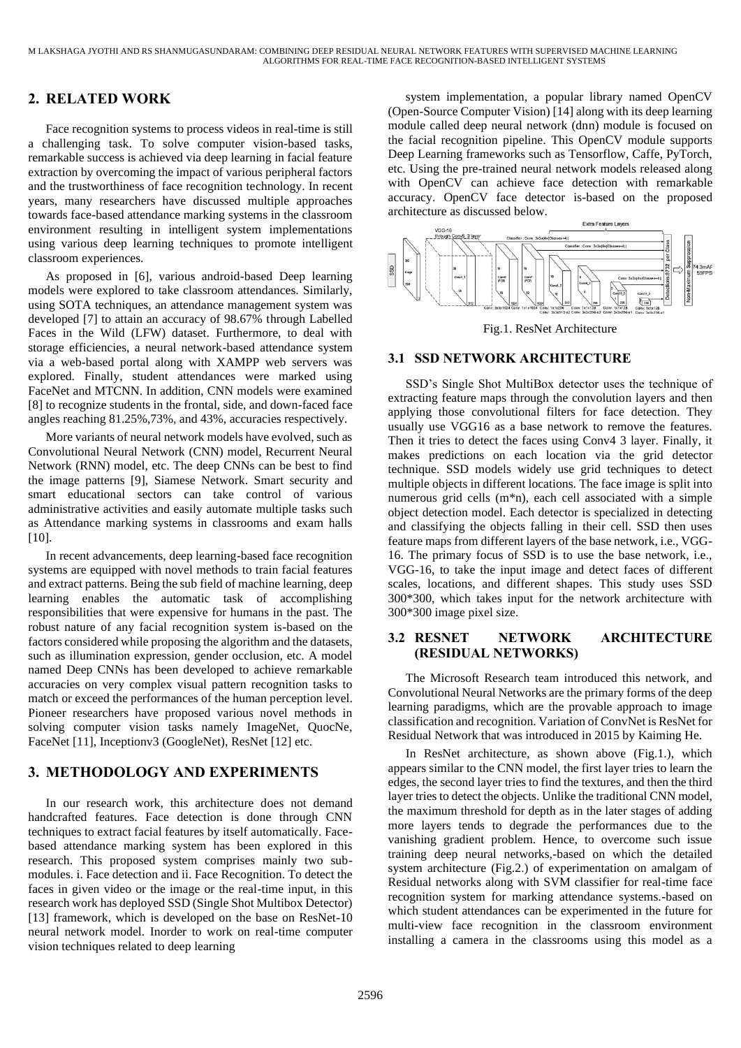# **2. RELATED WORK**

Face recognition systems to process videos in real-time is still a challenging task. To solve computer vision-based tasks, remarkable success is achieved via deep learning in facial feature extraction by overcoming the impact of various peripheral factors and the trustworthiness of face recognition technology. In recent years, many researchers have discussed multiple approaches towards face-based attendance marking systems in the classroom environment resulting in intelligent system implementations using various deep learning techniques to promote intelligent classroom experiences.

As proposed in [6], various android-based Deep learning models were explored to take classroom attendances. Similarly, using SOTA techniques, an attendance management system was developed [7] to attain an accuracy of 98.67% through Labelled Faces in the Wild (LFW) dataset. Furthermore, to deal with storage efficiencies, a neural network-based attendance system via a web-based portal along with XAMPP web servers was explored. Finally, student attendances were marked using FaceNet and MTCNN. In addition, CNN models were examined [8] to recognize students in the frontal, side, and down-faced face angles reaching 81.25%,73%, and 43%, accuracies respectively.

More variants of neural network models have evolved, such as Convolutional Neural Network (CNN) model, Recurrent Neural Network (RNN) model, etc. The deep CNNs can be best to find the image patterns [9], Siamese Network. Smart security and smart educational sectors can take control of various administrative activities and easily automate multiple tasks such as Attendance marking systems in classrooms and exam halls [10].

In recent advancements, deep learning-based face recognition systems are equipped with novel methods to train facial features and extract patterns. Being the sub field of machine learning, deep learning enables the automatic task of accomplishing responsibilities that were expensive for humans in the past. The robust nature of any facial recognition system is-based on the factors considered while proposing the algorithm and the datasets, such as illumination expression, gender occlusion, etc. A model named Deep CNNs has been developed to achieve remarkable accuracies on very complex visual pattern recognition tasks to match or exceed the performances of the human perception level. Pioneer researchers have proposed various novel methods in solving computer vision tasks namely ImageNet, QuocNe, FaceNet [11], Inceptionv3 (GoogleNet), ResNet [12] etc.

## **3. METHODOLOGY AND EXPERIMENTS**

In our research work, this architecture does not demand handcrafted features. Face detection is done through CNN techniques to extract facial features by itself automatically. Facebased attendance marking system has been explored in this research. This proposed system comprises mainly two submodules. i. Face detection and ii. Face Recognition. To detect the faces in given video or the image or the real-time input, in this research work has deployed SSD (Single Shot Multibox Detector) [13] framework, which is developed on the base on ResNet-10 neural network model. Inorder to work on real-time computer vision techniques related to deep learning

system implementation, a popular library named OpenCV (Open-Source Computer Vision) [14] along with its deep learning module called deep neural network (dnn) module is focused on the facial recognition pipeline. This OpenCV module supports Deep Learning frameworks such as Tensorflow, Caffe, PyTorch, etc. Using the pre-trained neural network models released along with OpenCV can achieve face detection with remarkable accuracy. OpenCV face detector is-based on the proposed architecture as discussed below.





### **3.1 SSD NETWORK ARCHITECTURE**

SSD's Single Shot MultiBox detector uses the technique of extracting feature maps through the convolution layers and then applying those convolutional filters for face detection. They usually use VGG16 as a base network to remove the features. Then it tries to detect the faces using Conv4 3 layer. Finally, it makes predictions on each location via the grid detector technique. SSD models widely use grid techniques to detect multiple objects in different locations. The face image is split into numerous grid cells (m\*n), each cell associated with a simple object detection model. Each detector is specialized in detecting and classifying the objects falling in their cell. SSD then uses feature maps from different layers of the base network, i.e., VGG-16. The primary focus of SSD is to use the base network, i.e., VGG-16, to take the input image and detect faces of different scales, locations, and different shapes. This study uses SSD 300\*300, which takes input for the network architecture with 300\*300 image pixel size.

## **3.2 RESNET NETWORK ARCHITECTURE (RESIDUAL NETWORKS)**

The Microsoft Research team introduced this network, and Convolutional Neural Networks are the primary forms of the deep learning paradigms, which are the provable approach to image classification and recognition. Variation of ConvNet is ResNet for Residual Network that was introduced in 2015 by Kaiming He.

In ResNet architecture, as shown above (Fig.1.), which appears similar to the CNN model, the first layer tries to learn the edges, the second layer tries to find the textures, and then the third layer tries to detect the objects. Unlike the traditional CNN model, the maximum threshold for depth as in the later stages of adding more layers tends to degrade the performances due to the vanishing gradient problem. Hence, to overcome such issue training deep neural networks,-based on which the detailed system architecture (Fig.2.) of experimentation on amalgam of Residual networks along with SVM classifier for real-time face recognition system for marking attendance systems.-based on which student attendances can be experimented in the future for multi-view face recognition in the classroom environment installing a camera in the classrooms using this model as a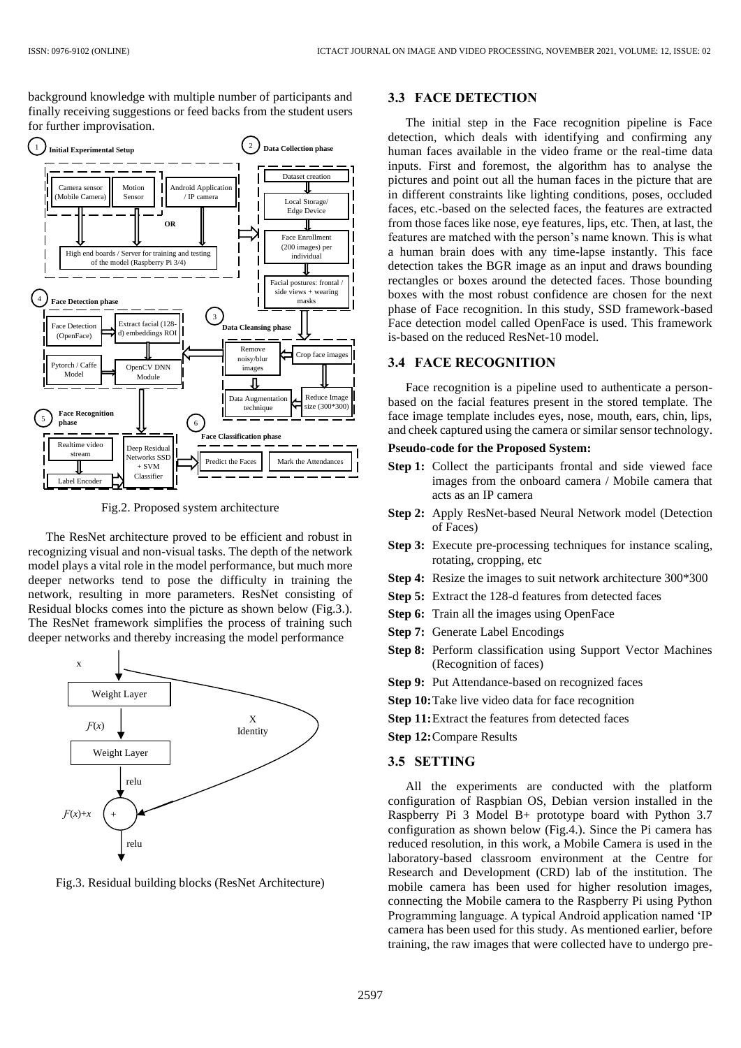background knowledge with multiple number of participants and finally receiving suggestions or feed backs from the student users for further improvisation.



Fig.2. Proposed system architecture

The ResNet architecture proved to be efficient and robust in recognizing visual and non-visual tasks. The depth of the network model plays a vital role in the model performance, but much more deeper networks tend to pose the difficulty in training the network, resulting in more parameters. ResNet consisting of Residual blocks comes into the picture as shown below (Fig.3.). The ResNet framework simplifies the process of training such deeper networks and thereby increasing the model performance



Fig.3. Residual building blocks (ResNet Architecture)

### **3.3 FACE DETECTION**

The initial step in the Face recognition pipeline is Face detection, which deals with identifying and confirming any human faces available in the video frame or the real-time data inputs. First and foremost, the algorithm has to analyse the pictures and point out all the human faces in the picture that are in different constraints like lighting conditions, poses, occluded faces, etc.-based on the selected faces, the features are extracted from those faces like nose, eye features, lips, etc. Then, at last, the features are matched with the person's name known. This is what a human brain does with any time-lapse instantly. This face detection takes the BGR image as an input and draws bounding rectangles or boxes around the detected faces. Those bounding boxes with the most robust confidence are chosen for the next phase of Face recognition. In this study, SSD framework-based Face detection model called OpenFace is used. This framework is-based on the reduced ResNet-10 model.

#### **3.4 FACE RECOGNITION**

Face recognition is a pipeline used to authenticate a personbased on the facial features present in the stored template. The face image template includes eyes, nose, mouth, ears, chin, lips, and cheek captured using the camera or similar sensor technology.

#### **Pseudo-code for the Proposed System:**

- **Step 1:** Collect the participants frontal and side viewed face images from the onboard camera / Mobile camera that acts as an IP camera
- **Step 2:** Apply ResNet-based Neural Network model (Detection of Faces)
- **Step 3:** Execute pre-processing techniques for instance scaling, rotating, cropping, etc
- **Step 4:** Resize the images to suit network architecture 300\*300
- **Step 5:** Extract the 128-d features from detected faces
- **Step 6:** Train all the images using OpenFace
- **Step 7:** Generate Label Encodings
- **Step 8:** Perform classification using Support Vector Machines (Recognition of faces)
- **Step 9:** Put Attendance-based on recognized faces
- **Step 10:**Take live video data for face recognition
- **Step 11:**Extract the features from detected faces
- **Step 12:**Compare Results

#### **3.5 SETTING**

All the experiments are conducted with the platform configuration of Raspbian OS, Debian version installed in the Raspberry Pi 3 Model B+ prototype board with Python 3.7 configuration as shown below (Fig.4.). Since the Pi camera has reduced resolution, in this work, a Mobile Camera is used in the laboratory-based classroom environment at the Centre for Research and Development (CRD) lab of the institution. The mobile camera has been used for higher resolution images, connecting the Mobile camera to the Raspberry Pi using Python Programming language. A typical Android application named 'IP camera has been used for this study. As mentioned earlier, before training, the raw images that were collected have to undergo pre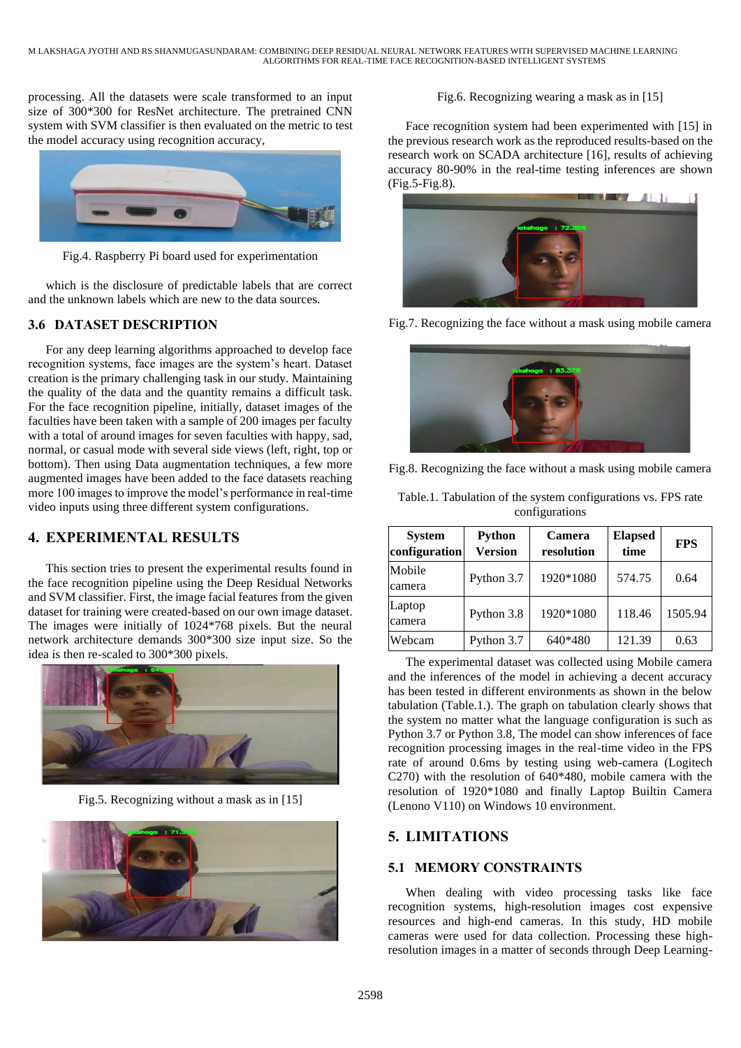processing. All the datasets were scale transformed to an input size of 300\*300 for ResNet architecture. The pretrained CNN system with SVM classifier is then evaluated on the metric to test the model accuracy using recognition accuracy,



Fig.4. Raspberry Pi board used for experimentation

which is the disclosure of predictable labels that are correct and the unknown labels which are new to the data sources.

## **3.6 DATASET DESCRIPTION**

For any deep learning algorithms approached to develop face recognition systems, face images are the system's heart. Dataset creation is the primary challenging task in our study. Maintaining the quality of the data and the quantity remains a difficult task. For the face recognition pipeline, initially, dataset images of the faculties have been taken with a sample of 200 images per faculty with a total of around images for seven faculties with happy, sad, normal, or casual mode with several side views (left, right, top or bottom). Then using Data augmentation techniques, a few more augmented images have been added to the face datasets reaching more 100 images to improve the model's performance in real-time video inputs using three different system configurations.

## **4. EXPERIMENTAL RESULTS**

This section tries to present the experimental results found in the face recognition pipeline using the Deep Residual Networks and SVM classifier. First, the image facial features from the given dataset for training were created-based on our own image dataset. The images were initially of 1024\*768 pixels. But the neural network architecture demands 300\*300 size input size. So the idea is then re-scaled to 300\*300 pixels.



Fig.5. Recognizing without a mask as in [15]



### Fig.6. Recognizing wearing a mask as in [15]

Face recognition system had been experimented with [15] in the previous research work as the reproduced results-based on the research work on SCADA architecture [16], results of achieving accuracy 80-90% in the real-time testing inferences are shown (Fig.5-Fig.8).



Fig.7. Recognizing the face without a mask using mobile camera



Fig.8. Recognizing the face without a mask using mobile camera

| <b>System</b><br>configuration | <b>Python</b><br><b>Version</b> | Camera<br>resolution | <b>Elapsed</b><br>time | <b>FPS</b> |
|--------------------------------|---------------------------------|----------------------|------------------------|------------|
| Mobile<br>camera               | Python 3.7                      | 1920*1080            | 574.75                 | 0.64       |
| Laptop<br>camera               | Python 3.8                      | 1920*1080            | 118.46                 | 1505.94    |
| Webcam                         | Python 3.7                      | 640*480              | 121.39                 | 0.63       |

Table.1. Tabulation of the system configurations vs. FPS rate configurations

The experimental dataset was collected using Mobile camera and the inferences of the model in achieving a decent accuracy has been tested in different environments as shown in the below tabulation (Table.1.). The graph on tabulation clearly shows that the system no matter what the language configuration is such as Python 3.7 or Python 3.8, The model can show inferences of face recognition processing images in the real-time video in the FPS rate of around 0.6ms by testing using web-camera (Logitech C270) with the resolution of 640\*480, mobile camera with the resolution of 1920\*1080 and finally Laptop Builtin Camera (Lenono V110) on Windows 10 environment.

## **5. LIMITATIONS**

## **5.1 MEMORY CONSTRAINTS**

When dealing with video processing tasks like face recognition systems, high-resolution images cost expensive resources and high-end cameras. In this study, HD mobile cameras were used for data collection. Processing these highresolution images in a matter of seconds through Deep Learning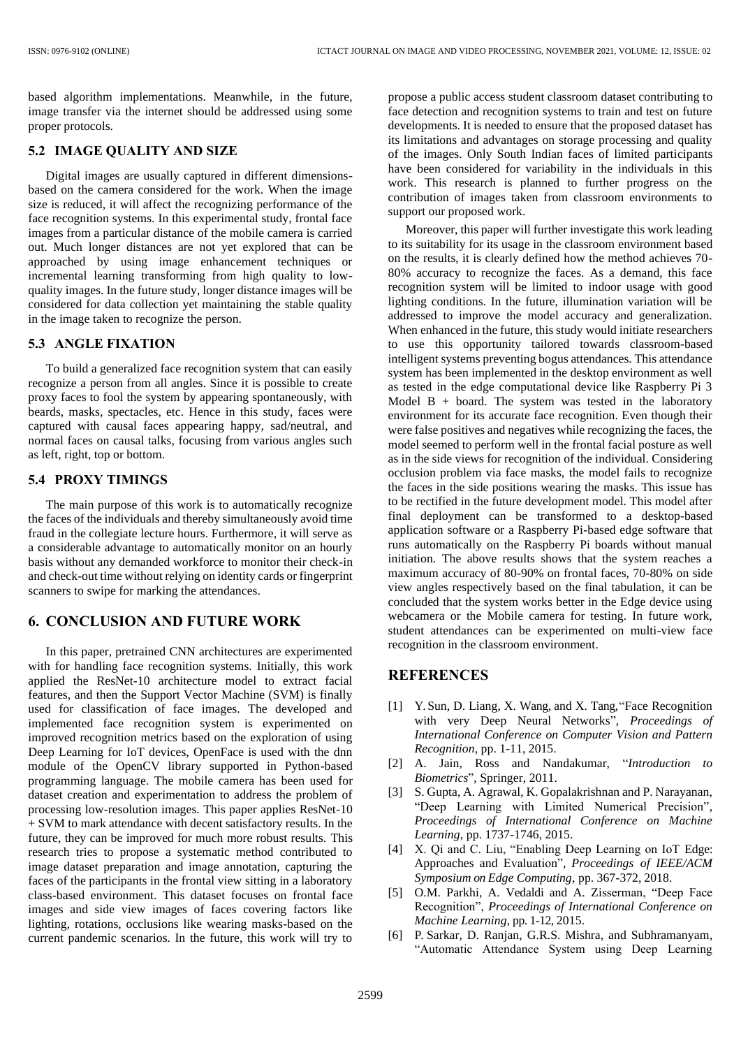based algorithm implementations. Meanwhile, in the future, image transfer via the internet should be addressed using some proper protocols.

### **5.2 IMAGE QUALITY AND SIZE**

Digital images are usually captured in different dimensionsbased on the camera considered for the work. When the image size is reduced, it will affect the recognizing performance of the face recognition systems. In this experimental study, frontal face images from a particular distance of the mobile camera is carried out. Much longer distances are not yet explored that can be approached by using image enhancement techniques or incremental learning transforming from high quality to lowquality images. In the future study, longer distance images will be considered for data collection yet maintaining the stable quality in the image taken to recognize the person.

### **5.3 ANGLE FIXATION**

To build a generalized face recognition system that can easily recognize a person from all angles. Since it is possible to create proxy faces to fool the system by appearing spontaneously, with beards, masks, spectacles, etc. Hence in this study, faces were captured with causal faces appearing happy, sad/neutral, and normal faces on causal talks, focusing from various angles such as left, right, top or bottom.

### **5.4 PROXY TIMINGS**

The main purpose of this work is to automatically recognize the faces of the individuals and thereby simultaneously avoid time fraud in the collegiate lecture hours. Furthermore, it will serve as a considerable advantage to automatically monitor on an hourly basis without any demanded workforce to monitor their check-in and check-out time without relying on identity cards or fingerprint scanners to swipe for marking the attendances.

## **6. CONCLUSION AND FUTURE WORK**

In this paper, pretrained CNN architectures are experimented with for handling face recognition systems. Initially, this work applied the ResNet-10 architecture model to extract facial features, and then the Support Vector Machine (SVM) is finally used for classification of face images. The developed and implemented face recognition system is experimented on improved recognition metrics based on the exploration of using Deep Learning for IoT devices, OpenFace is used with the dnn module of the OpenCV library supported in Python-based programming language. The mobile camera has been used for dataset creation and experimentation to address the problem of processing low-resolution images. This paper applies ResNet-10 + SVM to mark attendance with decent satisfactory results. In the future, they can be improved for much more robust results. This research tries to propose a systematic method contributed to image dataset preparation and image annotation, capturing the faces of the participants in the frontal view sitting in a laboratory class-based environment. This dataset focuses on frontal face images and side view images of faces covering factors like lighting, rotations, occlusions like wearing masks-based on the current pandemic scenarios. In the future, this work will try to

propose a public access student classroom dataset contributing to face detection and recognition systems to train and test on future developments. It is needed to ensure that the proposed dataset has its limitations and advantages on storage processing and quality of the images. Only South Indian faces of limited participants have been considered for variability in the individuals in this work. This research is planned to further progress on the contribution of images taken from classroom environments to support our proposed work.

Moreover, this paper will further investigate this work leading to its suitability for its usage in the classroom environment based on the results, it is clearly defined how the method achieves 70- 80% accuracy to recognize the faces. As a demand, this face recognition system will be limited to indoor usage with good lighting conditions. In the future, illumination variation will be addressed to improve the model accuracy and generalization. When enhanced in the future, this study would initiate researchers to use this opportunity tailored towards classroom-based intelligent systems preventing bogus attendances. This attendance system has been implemented in the desktop environment as well as tested in the edge computational device like Raspberry Pi 3 Model  $B + board$ . The system was tested in the laboratory environment for its accurate face recognition. Even though their were false positives and negatives while recognizing the faces, the model seemed to perform well in the frontal facial posture as well as in the side views for recognition of the individual. Considering occlusion problem via face masks, the model fails to recognize the faces in the side positions wearing the masks. This issue has to be rectified in the future development model. This model after final deployment can be transformed to a desktop-based application software or a Raspberry Pi-based edge software that runs automatically on the Raspberry Pi boards without manual initiation. The above results shows that the system reaches a maximum accuracy of 80-90% on frontal faces, 70-80% on side view angles respectively based on the final tabulation, it can be concluded that the system works better in the Edge device using webcamera or the Mobile camera for testing. In future work, student attendances can be experimented on multi-view face recognition in the classroom environment.

## **REFERENCES**

- [1] Y. Sun, D. Liang, X. Wang, and X. Tang,"Face Recognition with very Deep Neural Networks", *Proceedings of International Conference on Computer Vision and Pattern Recognition*, pp. 1-11, 2015.
- [2] A. Jain, Ross and Nandakumar, "*Introduction to Biometrics*", Springer, 2011.
- [3] S. Gupta, A. Agrawal, K. Gopalakrishnan and P. Narayanan, "Deep Learning with Limited Numerical Precision", *Proceedings of International Conference on Machine Learning*, pp. 1737-1746, 2015.
- [4] X. Qi and C. Liu, "Enabling Deep Learning on IoT Edge: Approaches and Evaluation", *Proceedings of IEEE/ACM Symposium on Edge Computing*, pp. 367-372, 2018.
- [5] O.M. Parkhi, A. Vedaldi and A. Zisserman, "Deep Face Recognition", *Proceedings of International Conference on Machine Learning*, pp. 1-12, 2015.
- [6] P. Sarkar, D. Ranjan, G.R.S. Mishra, and Subhramanyam, "Automatic Attendance System using Deep Learning